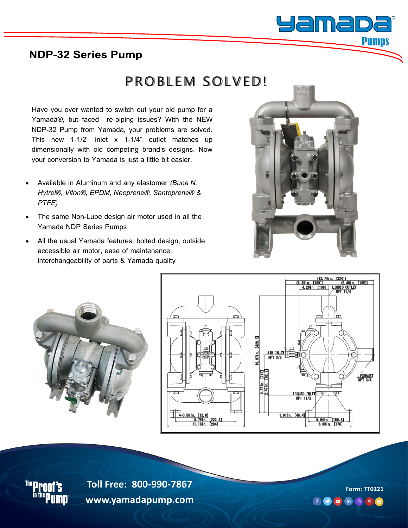

#### **NDP-32 Series Pump**

# PROBLEM SOLVED!

Have you ever wanted to switch out your old pump for a Yamada®, but faced re-piping issues? With the NEW NDP-32 Pump from Yamada, your problems are solved. This new 1-1/2" inlet x 1-1/4" outlet matches up dimensionally with old competing brand's designs. Now your conversion to Yamada is just a little bit easier.

- Available in Aluminum and any elastomer *(Buna N, Hytrel®, Viton®, EPDM, Neoprene®, Santoprene® & PTFE)*
- The same Non-Lube design air motor used in all the Yamada NDP Series Pumps
- All the usual Yamada features: bolted design, outside accessible air motor, ease of maintenance, interchangeability of parts & Yamada quality









**Toll Free: 800-990-7867 www.yamadapump.com Form: TT0221 Toll Free: 800-990-7867 www.yamadapump.com**

 $f$   $\Theta$  in  $\Theta$   $\rho$   $\Theta$